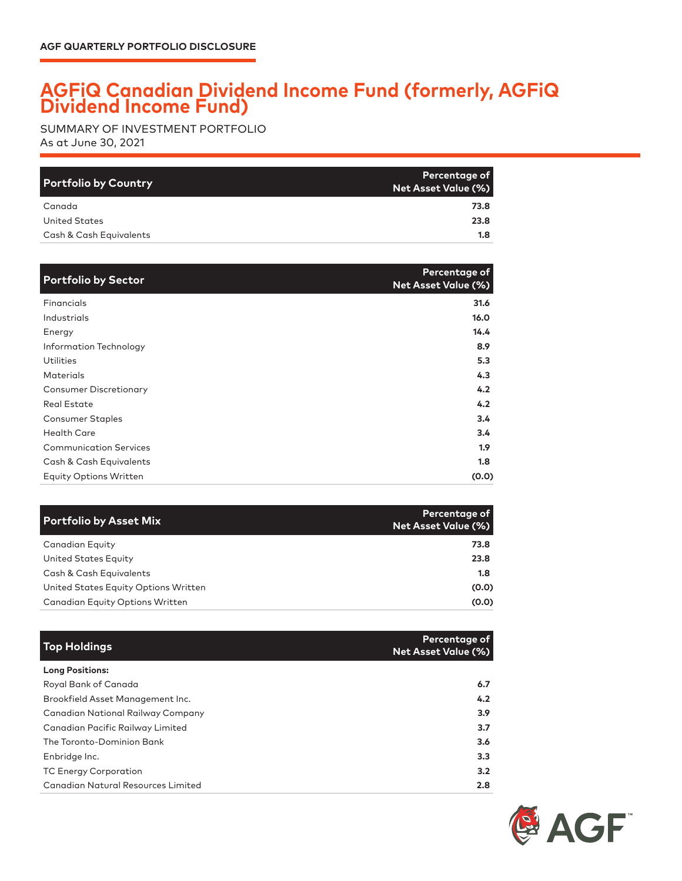## **AGFiQ Canadian Dividend Income Fund (formerly, AGFiQ Dividend Income Fund)**

As at June 30, 2021 SUMMARY OF INVESTMENT PORTFOLIO

| <b>Portfolio by Country</b> | Percentage of<br>Net Asset Value (%) |
|-----------------------------|--------------------------------------|
| Canada                      | 73.8                                 |
| United States               | 23.8                                 |
| Cash & Cash Equivalents     | 1.8                                  |

| <b>Portfolio by Sector</b>    | Percentage of<br><b>Net Asset Value (%)</b> |
|-------------------------------|---------------------------------------------|
| Financials                    | 31.6                                        |
| Industrials                   | 16.0                                        |
| Energy                        | 14.4                                        |
| Information Technology        | 8.9                                         |
| Utilities                     | 5.3                                         |
| <b>Materials</b>              | 4.3                                         |
| <b>Consumer Discretionary</b> | 4.2                                         |
| <b>Real Estate</b>            | 4.2                                         |
| <b>Consumer Staples</b>       | 3.4                                         |
| <b>Health Care</b>            | 3.4                                         |
| <b>Communication Services</b> | 1.9 <sup>2</sup>                            |
| Cash & Cash Equivalents       | 1.8                                         |
| <b>Equity Options Written</b> | (0.0)                                       |

| <b>Portfolio by Asset Mix</b>        | <b>Percentage of</b><br>Net Asset Value (%) |
|--------------------------------------|---------------------------------------------|
| Canadian Equity                      | 73.8                                        |
| United States Equity                 | 23.8                                        |
| Cash & Cash Equivalents              | 1.8                                         |
| United States Equity Options Written | (0.0)                                       |
| Canadian Equity Options Written      | (0.0)                                       |

| <b>Top Holdings</b>                      | Percentage of<br><b>Net Asset Value (%)</b> |
|------------------------------------------|---------------------------------------------|
| <b>Long Positions:</b>                   |                                             |
| Royal Bank of Canada                     | 6.7                                         |
| Brookfield Asset Management Inc.         | 4.2                                         |
| <b>Canadian National Railway Company</b> | 3.9                                         |
| Canadian Pacific Railway Limited         | 3.7                                         |
| The Toronto-Dominion Bank                | 3.6                                         |
| Enbridge Inc.                            | 3.3                                         |
| <b>TC Energy Corporation</b>             | 3.2                                         |
| Canadian Natural Resources Limited       | 2.8                                         |